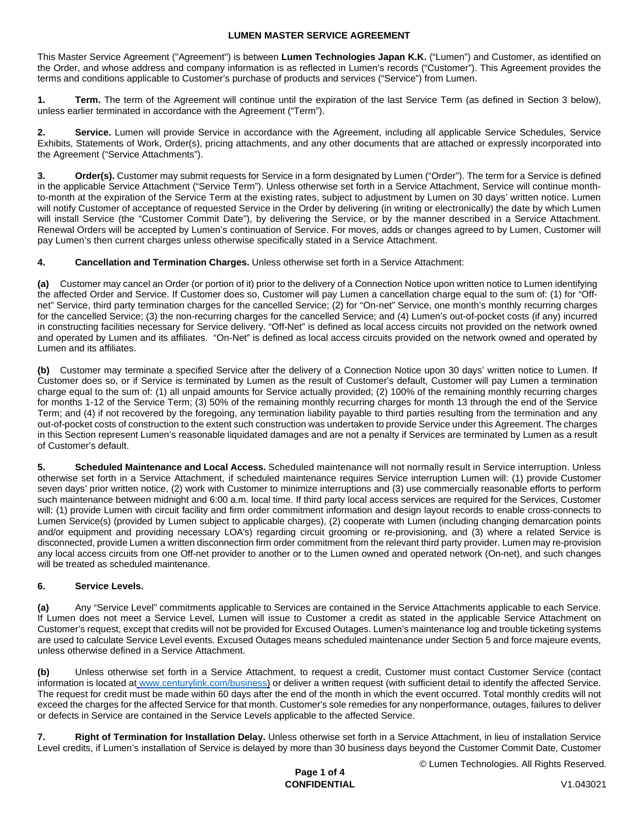This Master Service Agreement ("Agreement") is between **Lumen Technologies Japan K.K.** ("Lumen") and Customer, as identified on the Order, and whose address and company information is as reflected in Lumen's records ("Customer"). This Agreement provides the terms and conditions applicable to Customer's purchase of products and services ("Service") from Lumen.

**1. Term.** The term of the Agreement will continue until the expiration of the last Service Term (as defined in Section 3 below), unless earlier terminated in accordance with the Agreement ("Term").

**2. Service.** Lumen will provide Service in accordance with the Agreement, including all applicable Service Schedules, Service Exhibits, Statements of Work, Order(s), pricing attachments, and any other documents that are attached or expressly incorporated into the Agreement ("Service Attachments").

**Order(s).** Customer may submit requests for Service in a form designated by Lumen ("Order"). The term for a Service is defined in the applicable Service Attachment ("Service Term"). Unless otherwise set forth in a Service Attachment, Service will continue monthto-month at the expiration of the Service Term at the existing rates, subject to adjustment by Lumen on 30 days' written notice. Lumen will notify Customer of acceptance of requested Service in the Order by delivering (in writing or electronically) the date by which Lumen will install Service (the "Customer Commit Date"), by delivering the Service, or by the manner described in a Service Attachment. Renewal Orders will be accepted by Lumen's continuation of Service. For moves, adds or changes agreed to by Lumen, Customer will pay Lumen's then current charges unless otherwise specifically stated in a Service Attachment.

**4. Cancellation and Termination Charges.** Unless otherwise set forth in a Service Attachment:

**(a)** Customer may cancel an Order (or portion of it) prior to the delivery of a Connection Notice upon written notice to Lumen identifying the affected Order and Service. If Customer does so, Customer will pay Lumen a cancellation charge equal to the sum of: (1) for "Offnet" Service, third party termination charges for the cancelled Service; (2) for "On-net" Service, one month's monthly recurring charges for the cancelled Service; (3) the non-recurring charges for the cancelled Service; and (4) Lumen's out-of-pocket costs (if any) incurred in constructing facilities necessary for Service delivery. "Off-Net" is defined as local access circuits not provided on the network owned and operated by Lumen and its affiliates. "On-Net" is defined as local access circuits provided on the network owned and operated by Lumen and its affiliates.

**(b)** Customer may terminate a specified Service after the delivery of a Connection Notice upon 30 days' written notice to Lumen. If Customer does so, or if Service is terminated by Lumen as the result of Customer's default, Customer will pay Lumen a termination charge equal to the sum of: (1) all unpaid amounts for Service actually provided; (2) 100% of the remaining monthly recurring charges for months 1-12 of the Service Term; (3) 50% of the remaining monthly recurring charges for month 13 through the end of the Service Term; and (4) if not recovered by the foregoing, any termination liability payable to third parties resulting from the termination and any out-of-pocket costs of construction to the extent such construction was undertaken to provide Service under this Agreement. The charges in this Section represent Lumen's reasonable liquidated damages and are not a penalty if Services are terminated by Lumen as a result of Customer's default.

**5. Scheduled Maintenance and Local Access.** Scheduled maintenance will not normally result in Service interruption. Unless otherwise set forth in a Service Attachment, if scheduled maintenance requires Service interruption Lumen will: (1) provide Customer seven days' prior written notice, (2) work with Customer to minimize interruptions and (3) use commercially reasonable efforts to perform such maintenance between midnight and 6:00 a.m. local time. If third party local access services are required for the Services, Customer will: (1) provide Lumen with circuit facility and firm order commitment information and design layout records to enable cross-connects to Lumen Service(s) (provided by Lumen subject to applicable charges), (2) cooperate with Lumen (including changing demarcation points and/or equipment and providing necessary LOA's) regarding circuit grooming or re-provisioning, and (3) where a related Service is disconnected, provide Lumen a written disconnection firm order commitment from the relevant third party provider. Lumen may re-provision any local access circuits from one Off-net provider to another or to the Lumen owned and operated network (On-net), and such changes will be treated as scheduled maintenance.

# **6. Service Levels.**

**(a)** Any "Service Level" commitments applicable to Services are contained in the Service Attachments applicable to each Service. If Lumen does not meet a Service Level, Lumen will issue to Customer a credit as stated in the applicable Service Attachment on Customer's request, except that credits will not be provided for Excused Outages. Lumen's maintenance log and trouble ticketing systems are used to calculate Service Level events. Excused Outages means scheduled maintenance under Section 5 and force majeure events, unless otherwise defined in a Service Attachment.

**(b)** Unless otherwise set forth in a Service Attachment, to request a credit, Customer must contact Customer Service (contact information is located at [www.centurylink.com/business](http://www.centurylink.com/business)) or deliver a written request (with sufficient detail to identify the affected Service. The request for credit must be made within 60 days after the end of the month in which the event occurred. Total monthly credits will not exceed the charges for the affected Service for that month. Customer's sole remedies for any nonperformance, outages, failures to deliver or defects in Service are contained in the Service Levels applicable to the affected Service.

**7. Right of Termination for Installation Delay.** Unless otherwise set forth in a Service Attachment, in lieu of installation Service Level credits, if Lumen's installation of Service is delayed by more than 30 business days beyond the Customer Commit Date, Customer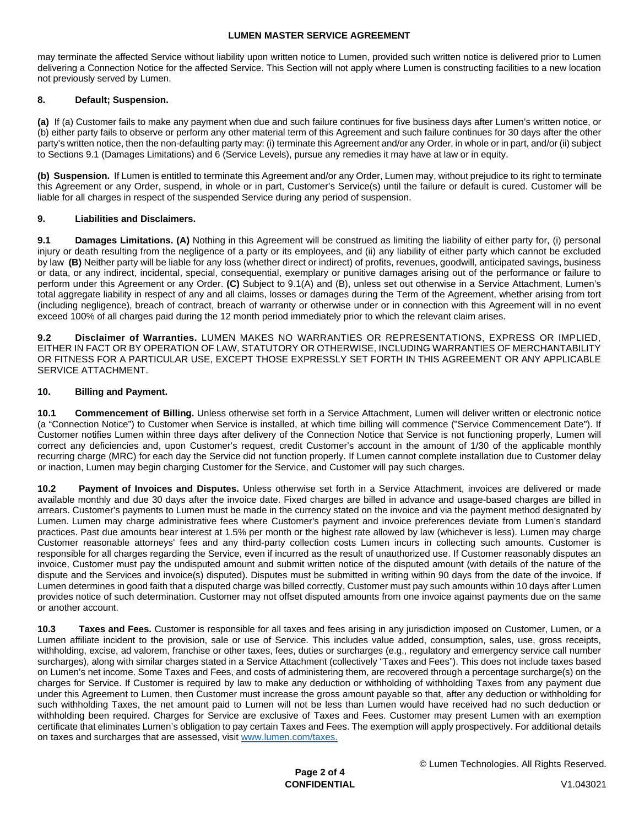may terminate the affected Service without liability upon written notice to Lumen, provided such written notice is delivered prior to Lumen delivering a Connection Notice for the affected Service. This Section will not apply where Lumen is constructing facilities to a new location not previously served by Lumen.

# **8. Default; Suspension.**

**(a)** If (a) Customer fails to make any payment when due and such failure continues for five business days after Lumen's written notice, or (b) either party fails to observe or perform any other material term of this Agreement and such failure continues for 30 days after the other party's written notice, then the non-defaulting party may: (i) terminate this Agreement and/or any Order, in whole or in part, and/or (ii) subject to Sections 9.1 (Damages Limitations) and 6 (Service Levels), pursue any remedies it may have at law or in equity.

**(b) Suspension.** If Lumen is entitled to terminate this Agreement and/or any Order, Lumen may, without prejudice to its right to terminate this Agreement or any Order, suspend, in whole or in part, Customer's Service(s) until the failure or default is cured. Customer will be liable for all charges in respect of the suspended Service during any period of suspension.

## **9. Liabilities and Disclaimers.**

**9.1 Damages Limitations. (A)** Nothing in this Agreement will be construed as limiting the liability of either party for, (i) personal injury or death resulting from the negligence of a party or its employees, and (ii) any liability of either party which cannot be excluded by law **(B)** Neither party will be liable for any loss (whether direct or indirect) of profits, revenues, goodwill, anticipated savings, business or data, or any indirect, incidental, special, consequential, exemplary or punitive damages arising out of the performance or failure to perform under this Agreement or any Order. **(C)** Subject to 9.1(A) and (B), unless set out otherwise in a Service Attachment, Lumen's total aggregate liability in respect of any and all claims, losses or damages during the Term of the Agreement, whether arising from tort (including negligence), breach of contract, breach of warranty or otherwise under or in connection with this Agreement will in no event exceed 100% of all charges paid during the 12 month period immediately prior to which the relevant claim arises.

**9.2 Disclaimer of Warranties.** LUMEN MAKES NO WARRANTIES OR REPRESENTATIONS, EXPRESS OR IMPLIED, EITHER IN FACT OR BY OPERATION OF LAW, STATUTORY OR OTHERWISE, INCLUDING WARRANTIES OF MERCHANTABILITY OR FITNESS FOR A PARTICULAR USE, EXCEPT THOSE EXPRESSLY SET FORTH IN THIS AGREEMENT OR ANY APPLICABLE SERVICE ATTACHMENT.

## **10. Billing and Payment.**

**10.1 Commencement of Billing.** Unless otherwise set forth in a Service Attachment, Lumen will deliver written or electronic notice (a "Connection Notice") to Customer when Service is installed, at which time billing will commence ("Service Commencement Date"). If Customer notifies Lumen within three days after delivery of the Connection Notice that Service is not functioning properly, Lumen will correct any deficiencies and, upon Customer's request, credit Customer's account in the amount of 1/30 of the applicable monthly recurring charge (MRC) for each day the Service did not function properly. If Lumen cannot complete installation due to Customer delay or inaction, Lumen may begin charging Customer for the Service, and Customer will pay such charges.

**10.2 Payment of Invoices and Disputes.** Unless otherwise set forth in a Service Attachment, invoices are delivered or made available monthly and due 30 days after the invoice date. Fixed charges are billed in advance and usage-based charges are billed in arrears. Customer's payments to Lumen must be made in the currency stated on the invoice and via the payment method designated by Lumen. Lumen may charge administrative fees where Customer's payment and invoice preferences deviate from Lumen's standard practices. Past due amounts bear interest at 1.5% per month or the highest rate allowed by law (whichever is less). Lumen may charge Customer reasonable attorneys' fees and any third-party collection costs Lumen incurs in collecting such amounts. Customer is responsible for all charges regarding the Service, even if incurred as the result of unauthorized use. If Customer reasonably disputes an invoice, Customer must pay the undisputed amount and submit written notice of the disputed amount (with details of the nature of the dispute and the Services and invoice(s) disputed). Disputes must be submitted in writing within 90 days from the date of the invoice. If Lumen determines in good faith that a disputed charge was billed correctly, Customer must pay such amounts within 10 days after Lumen provides notice of such determination. Customer may not offset disputed amounts from one invoice against payments due on the same or another account.

**10.3 Taxes and Fees.** Customer is responsible for all taxes and fees arising in any jurisdiction imposed on Customer, Lumen, or a Lumen affiliate incident to the provision, sale or use of Service. This includes value added, consumption, sales, use, gross receipts, withholding, excise, ad valorem, franchise or other taxes, fees, duties or surcharges (e.g., regulatory and emergency service call number surcharges), along with similar charges stated in a Service Attachment (collectively "Taxes and Fees"). This does not include taxes based on Lumen's net income. Some Taxes and Fees, and costs of administering them, are recovered through a percentage surcharge(s) on the charges for Service. If Customer is required by law to make any deduction or withholding of withholding Taxes from any payment due under this Agreement to Lumen, then Customer must increase the gross amount payable so that, after any deduction or withholding for such withholding Taxes, the net amount paid to Lumen will not be less than Lumen would have received had no such deduction or withholding been required. Charges for Service are exclusive of Taxes and Fees. Customer may present Lumen with an exemption certificate that eliminates Lumen's obligation to pay certain Taxes and Fees. The exemption will apply prospectively. For additional details on taxes and surcharges that are assessed, visit [www.lumen.com/taxes](http://www.lumen.com/taxes).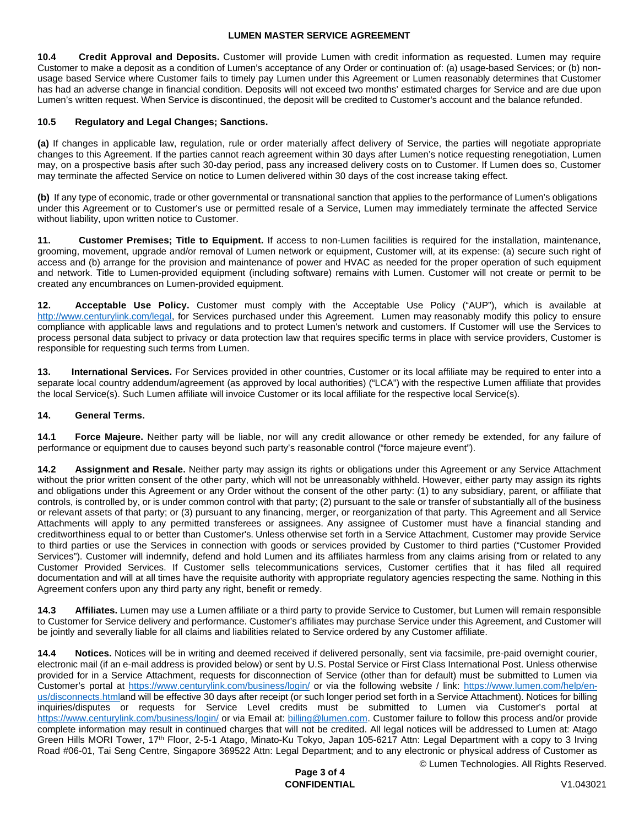**10.4 Credit Approval and Deposits.** Customer will provide Lumen with credit information as requested. Lumen may require Customer to make a deposit as a condition of Lumen's acceptance of any Order or continuation of: (a) usage-based Services; or (b) nonusage based Service where Customer fails to timely pay Lumen under this Agreement or Lumen reasonably determines that Customer has had an adverse change in financial condition. Deposits will not exceed two months' estimated charges for Service and are due upon Lumen's written request. When Service is discontinued, the deposit will be credited to Customer's account and the balance refunded.

## **10.5 Regulatory and Legal Changes; Sanctions.**

**(a)** If changes in applicable law, regulation, rule or order materially affect delivery of Service, the parties will negotiate appropriate changes to this Agreement. If the parties cannot reach agreement within 30 days after Lumen's notice requesting renegotiation, Lumen may, on a prospective basis after such 30-day period, pass any increased delivery costs on to Customer. If Lumen does so, Customer may terminate the affected Service on notice to Lumen delivered within 30 days of the cost increase taking effect.

**(b)** If any type of economic, trade or other governmental or transnational sanction that applies to the performance of Lumen's obligations under this Agreement or to Customer's use or permitted resale of a Service, Lumen may immediately terminate the affected Service without liability, upon written notice to Customer.

**11. Customer Premises; Title to Equipment.** If access to non-Lumen facilities is required for the installation, maintenance, grooming, movement, upgrade and/or removal of Lumen network or equipment, Customer will, at its expense: (a) secure such right of access and (b) arrange for the provision and maintenance of power and HVAC as needed for the proper operation of such equipment and network. Title to Lumen-provided equipment (including software) remains with Lumen. Customer will not create or permit to be created any encumbrances on Lumen-provided equipment.

**12. Acceptable Use Policy.** Customer must comply with the Acceptable Use Policy ("AUP"), which is available at [http://www.centurylink.com/legal,](http://www.centurylink.com/legal) for Services purchased under this Agreement. Lumen may reasonably modify this policy to ensure compliance with applicable laws and regulations and to protect Lumen's network and customers. If Customer will use the Services to process personal data subject to privacy or data protection law that requires specific terms in place with service providers, Customer is responsible for requesting such terms from Lumen.

**13. International Services.** For Services provided in other countries, Customer or its local affiliate may be required to enter into a separate local country addendum/agreement (as approved by local authorities) ("LCA") with the respective Lumen affiliate that provides the local Service(s). Such Lumen affiliate will invoice Customer or its local affiliate for the respective local Service(s).

#### **14. General Terms.**

**14.1 Force Majeure.** Neither party will be liable, nor will any credit allowance or other remedy be extended, for any failure of performance or equipment due to causes beyond such party's reasonable control ("force majeure event").

**14.2 Assignment and Resale.** Neither party may assign its rights or obligations under this Agreement or any Service Attachment without the prior written consent of the other party, which will not be unreasonably withheld. However, either party may assign its rights and obligations under this Agreement or any Order without the consent of the other party: (1) to any subsidiary, parent, or affiliate that controls, is controlled by, or is under common control with that party; (2) pursuant to the sale or transfer of substantially all of the business or relevant assets of that party; or (3) pursuant to any financing, merger, or reorganization of that party. This Agreement and all Service Attachments will apply to any permitted transferees or assignees. Any assignee of Customer must have a financial standing and creditworthiness equal to or better than Customer's. Unless otherwise set forth in a Service Attachment, Customer may provide Service to third parties or use the Services in connection with goods or services provided by Customer to third parties ("Customer Provided Services"). Customer will indemnify, defend and hold Lumen and its affiliates harmless from any claims arising from or related to any Customer Provided Services. If Customer sells telecommunications services, Customer certifies that it has filed all required documentation and will at all times have the requisite authority with appropriate regulatory agencies respecting the same. Nothing in this Agreement confers upon any third party any right, benefit or remedy.

**14.3 Affiliates.** Lumen may use a Lumen affiliate or a third party to provide Service to Customer, but Lumen will remain responsible to Customer for Service delivery and performance. Customer's affiliates may purchase Service under this Agreement, and Customer will be jointly and severally liable for all claims and liabilities related to Service ordered by any Customer affiliate.

**14.4 Notices.** Notices will be in writing and deemed received if delivered personally, sent via facsimile, pre-paid overnight courier, electronic mail (if an e-mail address is provided below) or sent by U.S. Postal Service or First Class International Post. Unless otherwise provided for in a Service Attachment, requests for disconnection of Service (other than for default) must be submitted to Lumen via Customer's portal at <https://www.centurylink.com/business/login/> or via the following website / link: [https://www.lumen.com/help/en](https://www.lumen.com/help/en-us/disconnects.html)[us/disconnects.htmland will be effective 30 days after receipt \(or such longer period set forth in a Service Attachment\). Notices for billing](https://www.lumen.com/help/en-us/disconnects.html)  inquiries/disputes or requests for Service Level credits must be submitted to Lumen via Customer's portal at <https://www.centurylink.com/business/login/>or via Email at: [billing@lumen.com](mailto:billing@lumen.com). Customer failure to follow this process and/or provide complete information may result in continued charges that will not be credited. All legal notices will be addressed to Lumen at: Atago Green Hills MORI Tower, 17th Floor, 2-5-1 Atago, Minato-Ku Tokyo, Japan 105-6217 Attn: Legal Department with a copy to 3 Irving Road #06-01, Tai Seng Centre, Singapore 369522 Attn: Legal Department; and to any electronic or physical address of Customer as